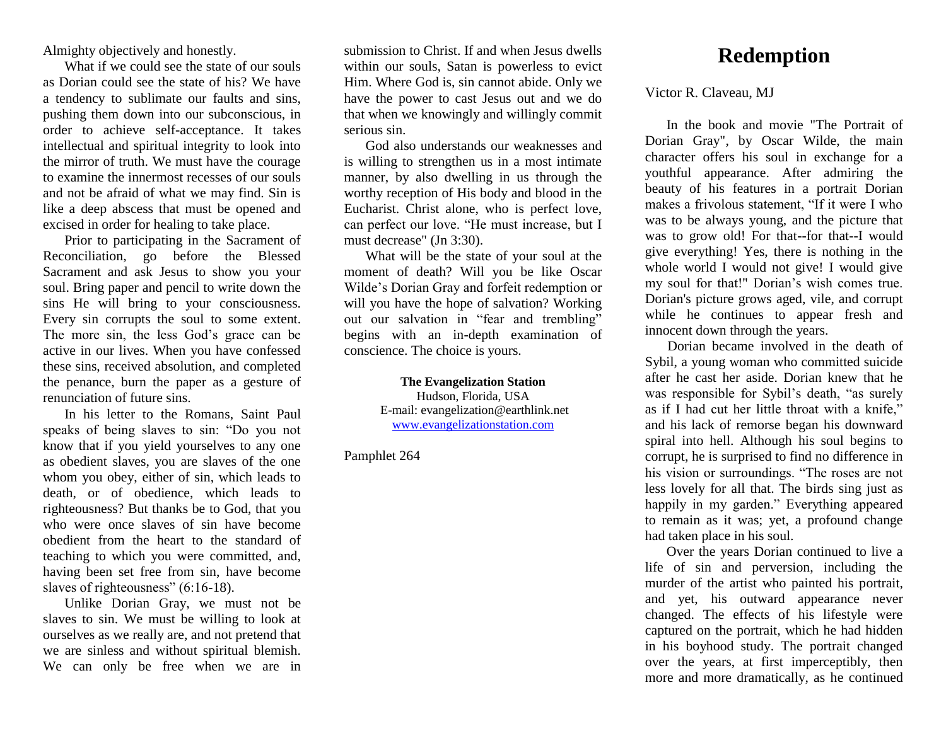Almighty objectively and honestly.

What if we could see the state of our souls as Dorian could see the state of his? We have a tendency to sublimate our faults and sins, pushing them down into our subconscious, in order to achieve self-acceptance. It takes intellectual and spiritual integrity to look into the mirror of truth. We must have the courage to examine the innermost recesses of our souls and not be afraid of what we may find. Sin is like a deep abscess that must be opened and excised in order for healing to take place.

Prior to participating in the Sacrament of Reconciliation, go before the Blessed Sacrament and ask Jesus to show you your soul. Bring paper and pencil to write down the sins He will bring to your consciousness. Every sin corrupts the soul to some extent. The more sin, the less God's grace can be active in our lives. When you have confessed these sins, received absolution, and completed the penance, burn the paper as a gesture of renunciation of future sins.

In his letter to the Romans, Saint Paul speaks of being slaves to sin: "Do you not know that if you yield yourselves to any one as obedient slaves, you are slaves of the one whom you obey, either of sin, which leads to death, or of obedience, which leads to righteousness? But thanks be to God, that you who were once slaves of sin have become obedient from the heart to the standard of teaching to which you were committed, and, having been set free from sin, have become slaves of righteousness" (6:16-18).

Unlike Dorian Gray, we must not be slaves to sin. We must be willing to look at ourselves as we really are, and not pretend that we are sinless and without spiritual blemish. We can only be free when we are in

submission to Christ. If and when Jesus dwells within our souls, Satan is powerless to evict Him. Where God is, sin cannot abide. Only we have the power to cast Jesus out and we do that when we knowingly and willingly commit serious sin.

God also understands our weaknesses and is willing to strengthen us in a most intimate manner, by also dwelling in us through the worthy reception of His body and blood in the Eucharist. Christ alone, who is perfect love, can perfect our love. "He must increase, but I must decrease" (Jn 3:30).

What will be the state of your soul at the moment of death? Will you be like Oscar Wilde's Dorian Gray and forfeit redemption or will you have the hope of salvation? Working out our salvation in "fear and trembling" begins with an in-depth examination of conscience. The choice is yours.

> **The Evangelization Station** Hudson, Florida, USA E-mail: evangelization@earthlink.net [www.evangelizationstation.com](http://www.pjpiisoe.org/)

Pamphlet 264

## **Redemption**

Victor R. Claveau, MJ

In the book and movie "The Portrait of Dorian Gray", by Oscar Wilde, the main character offers his soul in exchange for a youthful appearance. After admiring the beauty of his features in a portrait Dorian makes a frivolous statement, "If it were I who was to be always young, and the picture that was to grow old! For that--for that--I would give everything! Yes, there is nothing in the whole world I would not give! I would give my soul for that!" Dorian's wish comes true. Dorian's picture grows aged, vile, and corrupt while he continues to appear fresh and innocent down through the years.

Dorian became involved in the death of Sybil, a young woman who committed suicide after he cast her aside. Dorian knew that he was responsible for Sybil's death, "as surely as if I had cut her little throat with a knife," and his lack of remorse began his downward spiral into hell. Although his soul begins to corrupt, he is surprised to find no difference in his vision or surroundings. "The roses are not less lovely for all that. The birds sing just as happily in my garden." Everything appeared to remain as it was; yet, a profound change had taken place in his soul.

Over the years Dorian continued to live a life of sin and perversion, including the murder of the artist who painted his portrait, and yet, his outward appearance never changed. The effects of his lifestyle were captured on the portrait, which he had hidden in his boyhood study. The portrait changed over the years, at first imperceptibly, then more and more dramatically, as he continued